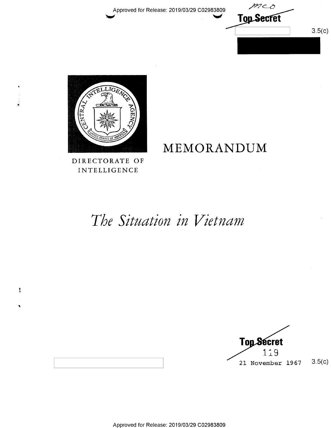Approved for Release: 2019/03/29 C02983809





### DIRECTORATE OF INTELLIGENCE

## MEMORANDUM

## The Situation in Vietnam



ŧ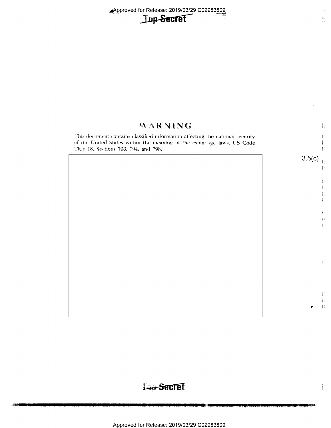Approved for Release: 2019/03/29 C02983809



### WARNING

This document contains classified information affecting he national security of the United States within the meaning of the espior age laws, US Code Title 18, Sections 793, 794, and 798.

 $3.5(c)$ <sub>1:</sub>

套

ŧ.

 $\frac{d}{dt}$  .

 $\frac{1}{2}$  .

 $\overline{\mathbb{R}}$ 

È.  $\mathbb{E}$  $\mathbb{B}^n$  $\mathbb{I}$ 

ţ.  $\mathbb{R}^+$ Ř.

ţ.  $\mathbb{R}^2$ 

i akraik

 $\frac{3}{2} \frac{\omega^2}{4}$ 

## Lag-Secret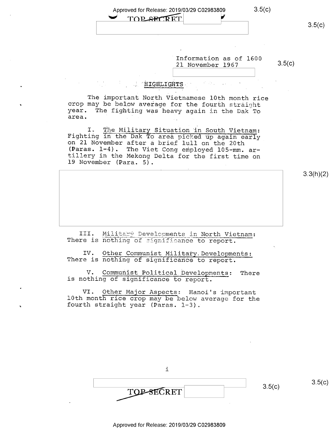|  | л | ۱<br>J |
|--|---|--------|
|  |   |        |

| Approved for Release: 2019/03/29 C02983809 | 3.5(C) |
|--------------------------------------------|--------|
|                                            |        |

TOP SECRET

Information as of 1600 21 November 1967 3.5(c)

- »~

#### $^{\circ}$  HIGHLIGHTS  $^{\circ}$

The important North Vietnamese 10th month rice crop may be below average for the fourth straight year. The fighting was heavy again in the Dak To area.

I. The Military Situation in South Vietnam:<br>Fighting in the Dak To area picked up again early<br>on 21 November after a brief lull on the 20th<br>(Paras. 1-4). The Viet Cong employed 105-mm. ar-<br>tillery in the Mekong Delta for t

3.3(h)(2)

III. Military Developments in North Vietnam:<br>There is nothing of significance to report.

IV. Other Communist Military. Developments:<br>There is nothing of significance to report.

V. Communist Political Developments: There is nothing of significance to report.

VI. Qther Major Aspects; Hanoi's important l0th month rice crop may be below average for the fourth straight year (Paras. l—3).

| <b>TOP-SECRET</b> | 3.5(c) | $\sim$ |
|-------------------|--------|--------|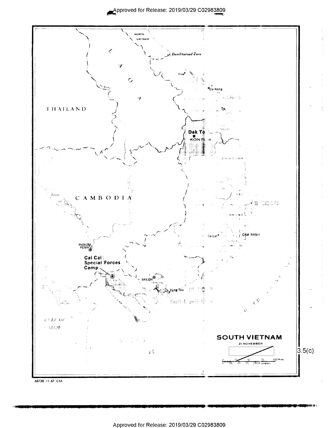

<sup>68738 11-67</sup> CIA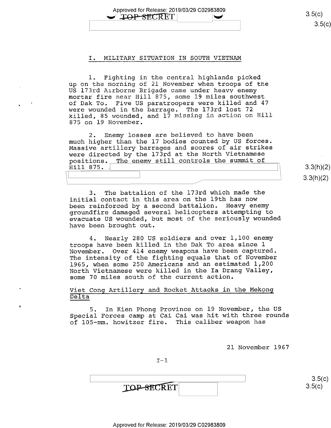Approved for Release: 2019/03/29 C02983809  $\sqrt{\text{LOP-SECRET}}$   $3.5(c)$ 

#### I. MILITARY SITUATION IN SOUTH VIETNAM

l. Fighting in the central highlands picked up on the morning of 21 November when troops of the US l73rd Airborne Brigade came under heavy enemy mortar fire near Hill 875, some 19 miles southwest of Dak To. Five US paratroopers were killed and 47 were wounded in the barrage. The l73rd lost 72 killed, 85 wounded, and 17 missing in action on Hill 875 on 19 November.

2. Enemy losses are believed to have been much higher than the l7 bodies counted by US forces. Massive artillery barrages and scores of air strikes were directed by the 173rd at the North Vietnamese positions. The enemy still controls the summit of Hill 875.  $Hill 875.$  3.3(h

3. The battalion of the l73rd which made the initial contact in this area on the l9th has now been reinforced by a second battalion. Heavy enemy groundfire damaged several helicopters attempting to evacuate US wounded, but most of the seriously wounded have been brought out.

4. Nearly 280 US soldiers and over l,l00 enemy troops have been killed in the Dak To area since l November. Over 414 enemy weapons have been captured. The intensity of the fighting equals that of November l965, when some 250 Americans and an estimated 1,200 North Vietnamese were killed in the Ia Drang Valley, some 70 miles south of the current action.

Viet Cong Artillery and Rocket Attacks in the Mekong Delta

5. In Kien Phong Province on l9 November, the US Special Forces camp at Cai Cai was hit with three rounds of 105-mm. howitzer fire. This caliber weapon has

21 November 1967

 $I-1$ 

 $\frac{1}{1}$  s.5(t) **TOP-SECRET** 

 $3.3(h)(2)$  $3.3(h)(2)$ 

 $\rightarrow$ 

 $3.5(c)$ 

 $3.5(c)$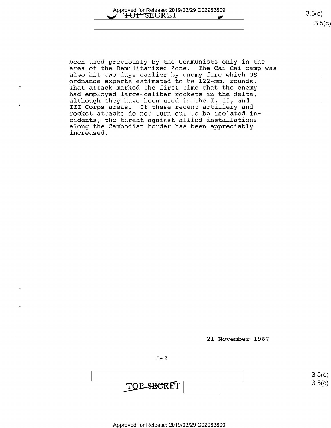

 $3.5(c)$ 

been used previously by the Communists only in the area of the Demilitarized Zone. The Cai Cai camp was also hit two days earlier by enemy fire which US ordnance experts estimated to be 122-mm. rounds. That attack marked the first time that the enemy had employed large-caliber rockets in the delta, although they have been used in the I, II, and III Corps areas. If these recent artillery and rocket attacks do not turn out to be isolated in cidents, the threat against allied installations along the Cambodian border has been appreciably increased.

21 November 1967

 $I-2$ 

 $3.5(C)$ TOP SECRET

 $\overline{c}$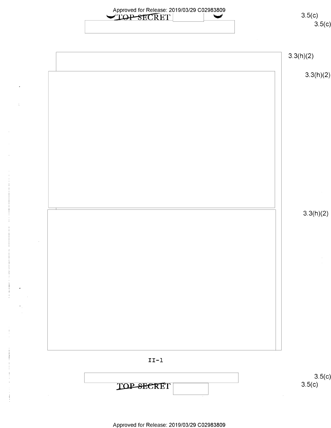| 3.5(c)    | Approved for Release: 2019/03/29 C02983809<br>TOP SECRET |
|-----------|----------------------------------------------------------|
| 3.5(c)    |                                                          |
|           |                                                          |
| 3.3(h)(2) |                                                          |
|           |                                                          |
| 3.3(h)(2) |                                                          |
|           |                                                          |
|           |                                                          |
|           |                                                          |
|           |                                                          |
|           |                                                          |
|           |                                                          |
|           |                                                          |
|           |                                                          |
|           |                                                          |
|           |                                                          |
|           |                                                          |
| 3.3(h)(2) |                                                          |
|           |                                                          |
|           |                                                          |
|           |                                                          |
|           |                                                          |
|           |                                                          |
|           |                                                          |
|           |                                                          |
|           |                                                          |
|           |                                                          |
|           |                                                          |
|           |                                                          |
|           |                                                          |
|           | $\verb II-I $                                            |
| 3.5(c)    |                                                          |
| 3.5(c)    | <b>TOP-SECRET</b>                                        |

 $\overline{\phantom{a}}$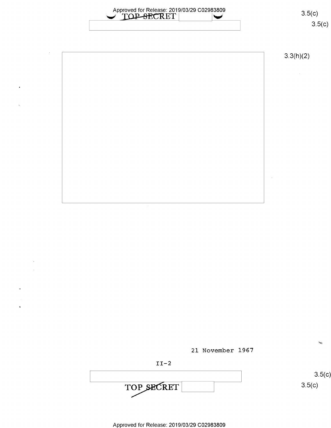

3.3(h)(2)

 $\sim$ 

 $3.5(c)$ 

We





Approved for Release: 2019/03/29 C02983809

 $\mathbf{r}$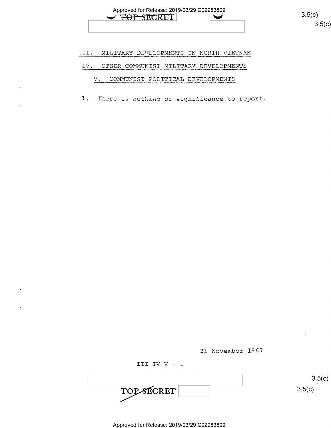

 $3.5(c)$ 

#### HII. MILITARY DEVELOPMENTS IN NORTH VIETNAM

#### IV. OTHER COMMUNIST MILITARY DEVELOPMENTS

#### V. COMMUNIST POLITICAL DEVELOPMENTS

1. There is nothing of significance to report.

21 November 1967

 $III - IV - V - 1$ 

 $3.5(c)$ TOPSECRET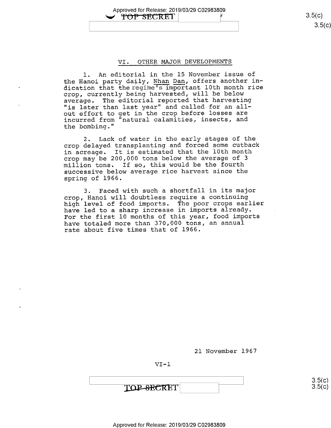Approved for Release: 2019/03/29 C02983809 1 TOP SECRET  $\overline{35}(6)$ 

# $3.5(c)$

#### VI. OTHER MAJOR DEVELOPMENTS

1. An editorial in the 15 November issue of the Hanoi party daily, Nhan Dan, offers another indication that theregime's important l0th month rice crop, currently being harvested, will be below average. The editorial reported that harvesting "is later than last year" and called for an allout effort to get in the crop before losses are incurred from "natural calamities, insects, and the bombing."

2. Lack of water in the early stages of the crop delayed transplanting and forced some cutback in acreage. It is estimated that the 10th month crop may be 200,000 tons below the average of <sup>3</sup> million tons. If so, this would be the fourth successive below average rice harvest since the spring of 1966.

3. Faced with such a shortfall in its major crop, Hanoi will doubtless require a continuing high level of food imports. The poor crops earlier have led to a sharp increase in imports already. For the first l0 months of this year, food imports have totaled more than 370,000 tons, an annual rate about five times that of 1966.

2l November 1967

VI—l

TOP-SECRET

 $3.5(c)$  $3.5(c)$